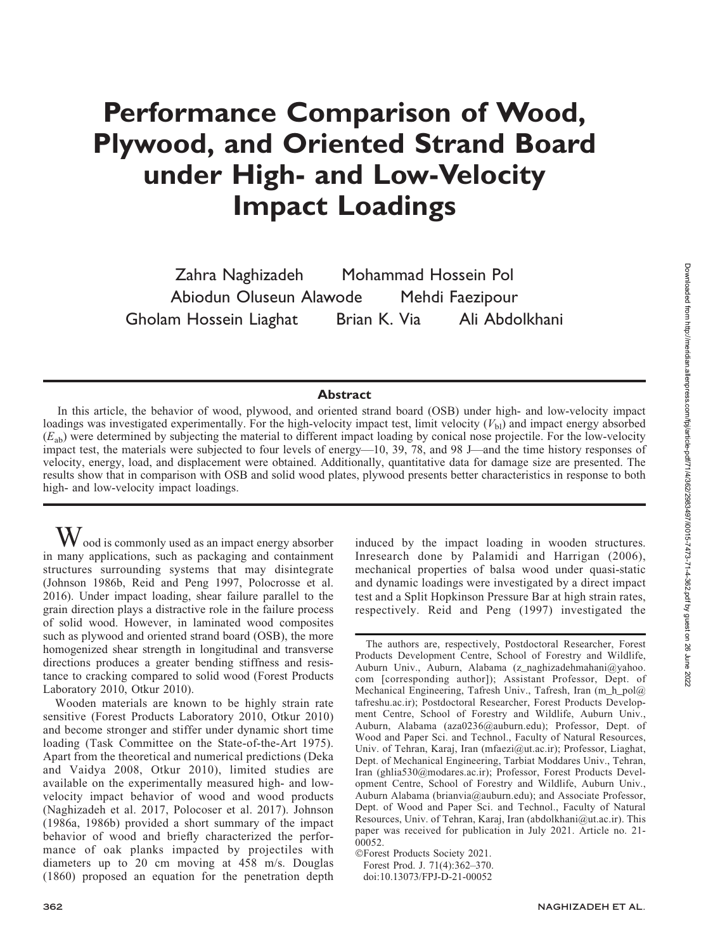# Performance Comparison of Wood, Plywood, and Oriented Strand Board under High- and Low-Velocity Impact Loadings

Zahra Naghizadeh Mohammad Hossein Pol Abiodun Oluseun Alawode Mehdi Faezipour Gholam Hossein Liaghat Brian K. Via Ali Abdolkhani

# **Abstract**

In this article, the behavior of wood, plywood, and oriented strand board (OSB) under high- and low-velocity impact loadings was investigated experimentally. For the high-velocity impact test, limit velocity  $(V_{\text{bl}})$  and impact energy absorbed  $(E<sub>ab</sub>)$  were determined by subjecting the material to different impact loading by conical nose projectile. For the low-velocity impact test, the materials were subjected to four levels of energy—10, 39, 78, and 98 J—and the time history responses of velocity, energy, load, and displacement were obtained. Additionally, quantitative data for damage size are presented. The results show that in comparison with OSB and solid wood plates, plywood presents better characteristics in response to both high- and low-velocity impact loadings.

 $\bf{W}$  ood is commonly used as an impact energy absorber in many applications, such as packaging and containment structures surrounding systems that may disintegrate (Johnson 1986b, Reid and Peng 1997, Polocrosse et al. 2016). Under impact loading, shear failure parallel to the grain direction plays a distractive role in the failure process of solid wood. However, in laminated wood composites such as plywood and oriented strand board (OSB), the more homogenized shear strength in longitudinal and transverse directions produces a greater bending stiffness and resistance to cracking compared to solid wood (Forest Products Laboratory 2010, Otkur 2010).

Wooden materials are known to be highly strain rate sensitive (Forest Products Laboratory 2010, Otkur 2010) and become stronger and stiffer under dynamic short time loading (Task Committee on the State-of-the-Art 1975). Apart from the theoretical and numerical predictions (Deka and Vaidya 2008, Otkur 2010), limited studies are available on the experimentally measured high- and lowvelocity impact behavior of wood and wood products (Naghizadeh et al. 2017, Polocoser et al. 2017). Johnson (1986a, 1986b) provided a short summary of the impact behavior of wood and briefly characterized the performance of oak planks impacted by projectiles with diameters up to 20 cm moving at 458 m/s. Douglas (1860) proposed an equation for the penetration depth induced by the impact loading in wooden structures. Inresearch done by Palamidi and Harrigan (2006), mechanical properties of balsa wood under quasi-static and dynamic loadings were investigated by a direct impact test and a Split Hopkinson Pressure Bar at high strain rates, respectively. Reid and Peng (1997) investigated the

-Forest Products Society 2021. Forest Prod. J. 71(4):362–370. doi:10.13073/FPJ-D-21-00052

The authors are, respectively, Postdoctoral Researcher, Forest Products Development Centre, School of Forestry and Wildlife, Auburn Univ., Auburn, Alabama (z\_naghizadehmahani@yahoo. com [corresponding author]); Assistant Professor, Dept. of Mechanical Engineering, Tafresh Univ., Tafresh, Iran (m\_h\_pol@ tafreshu.ac.ir); Postdoctoral Researcher, Forest Products Development Centre, School of Forestry and Wildlife, Auburn Univ., Auburn, Alabama (aza0236@auburn.edu); Professor, Dept. of Wood and Paper Sci. and Technol., Faculty of Natural Resources, Univ. of Tehran, Karaj, Iran (mfaezi@ut.ac.ir); Professor, Liaghat, Dept. of Mechanical Engineering, Tarbiat Moddares Univ., Tehran, Iran (ghlia530@modares.ac.ir); Professor, Forest Products Development Centre, School of Forestry and Wildlife, Auburn Univ., Auburn Alabama (brianvia@auburn.edu); and Associate Professor, Dept. of Wood and Paper Sci. and Technol., Faculty of Natural Resources, Univ. of Tehran, Karaj, Iran (abdolkhani@ut.ac.ir). This paper was received for publication in July 2021. Article no. 21- 00052.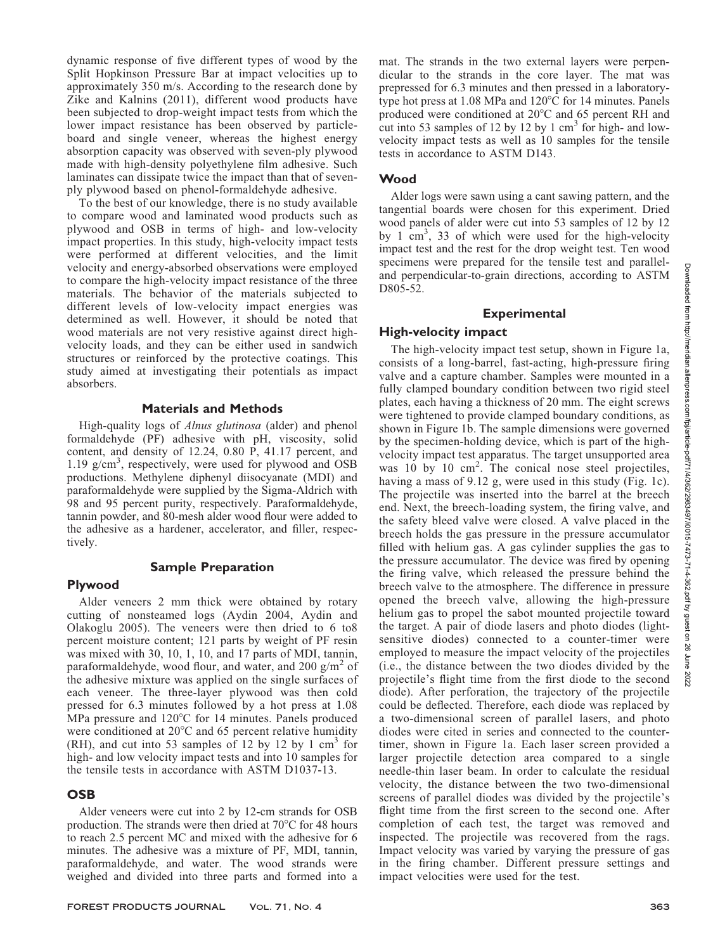dynamic response of five different types of wood by the Split Hopkinson Pressure Bar at impact velocities up to approximately 350 m/s. According to the research done by Zike and Kalnins (2011), different wood products have been subjected to drop-weight impact tests from which the lower impact resistance has been observed by particleboard and single veneer, whereas the highest energy absorption capacity was observed with seven-ply plywood made with high-density polyethylene film adhesive. Such laminates can dissipate twice the impact than that of sevenply plywood based on phenol-formaldehyde adhesive.

To the best of our knowledge, there is no study available to compare wood and laminated wood products such as plywood and OSB in terms of high- and low-velocity impact properties. In this study, high-velocity impact tests were performed at different velocities, and the limit velocity and energy-absorbed observations were employed to compare the high-velocity impact resistance of the three materials. The behavior of the materials subjected to different levels of low-velocity impact energies was determined as well. However, it should be noted that wood materials are not very resistive against direct highvelocity loads, and they can be either used in sandwich structures or reinforced by the protective coatings. This study aimed at investigating their potentials as impact absorbers.

# Materials and Methods

High-quality logs of *Alnus glutinosa* (alder) and phenol formaldehyde (PF) adhesive with pH, viscosity, solid content, and density of 12.24, 0.80 P, 41.17 percent, and 1.19 g/cm<sup>3</sup> , respectively, were used for plywood and OSB productions. Methylene diphenyl diisocyanate (MDI) and paraformaldehyde were supplied by the Sigma-Aldrich with 98 and 95 percent purity, respectively. Paraformaldehyde, tannin powder, and 80-mesh alder wood flour were added to the adhesive as a hardener, accelerator, and filler, respectively.

# Sample Preparation

# Plywood

Alder veneers 2 mm thick were obtained by rotary cutting of nonsteamed logs (Aydin 2004, Aydin and Olakoglu 2005). The veneers were then dried to 6 to8 percent moisture content; 121 parts by weight of PF resin was mixed with 30, 10, 1, 10, and 17 parts of MDI, tannin, paraformaldehyde, wood flour, and water, and  $200 \text{ g/m}^2$  of the adhesive mixture was applied on the single surfaces of each veneer. The three-layer plywood was then cold pressed for 6.3 minutes followed by a hot press at 1.08 MPa pressure and  $120^{\circ}$ C for 14 minutes. Panels produced were conditioned at  $20^{\circ}$ C and 65 percent relative humidity  $(RH)$ , and cut into 53 samples of 12 by 12 by 1 cm<sup>3</sup> for high- and low velocity impact tests and into 10 samples for the tensile tests in accordance with ASTM D1037-13.

# **OSB**

Alder veneers were cut into 2 by 12-cm strands for OSB production. The strands were then dried at  $70^{\circ}$ C for 48 hours to reach 2.5 percent MC and mixed with the adhesive for 6 minutes. The adhesive was a mixture of PF, MDI, tannin, paraformaldehyde, and water. The wood strands were weighed and divided into three parts and formed into a

mat. The strands in the two external layers were perpendicular to the strands in the core layer. The mat was prepressed for 6.3 minutes and then pressed in a laboratorytype hot press at  $1.08$  MPa and  $120^{\circ}$ C for 14 minutes. Panels produced were conditioned at 20°C and 65 percent RH and cut into 53 samples of 12 by 12 by 1  $\text{cm}^3$  for high- and lowvelocity impact tests as well as 10 samples for the tensile tests in accordance to ASTM D143.

# Wood

Alder logs were sawn using a cant sawing pattern, and the tangential boards were chosen for this experiment. Dried wood panels of alder were cut into 53 samples of 12 by 12 by 1 cm<sup>3</sup>, 33 of which were used for the high-velocity impact test and the rest for the drop weight test. Ten wood specimens were prepared for the tensile test and paralleland perpendicular-to-grain directions, according to ASTM D805-52.

# **Experimental**

# High-velocity impact

The high-velocity impact test setup, shown in Figure 1a, consists of a long-barrel, fast-acting, high-pressure firing valve and a capture chamber. Samples were mounted in a fully clamped boundary condition between two rigid steel plates, each having a thickness of 20 mm. The eight screws were tightened to provide clamped boundary conditions, as shown in Figure 1b. The sample dimensions were governed by the specimen-holding device, which is part of the highvelocity impact test apparatus. The target unsupported area was  $10 \text{ by } 10 \text{ cm}^2$ . The conical nose steel projectiles, having a mass of 9.12 g, were used in this study (Fig. 1c). The projectile was inserted into the barrel at the breech end. Next, the breech-loading system, the firing valve, and the safety bleed valve were closed. A valve placed in the breech holds the gas pressure in the pressure accumulator filled with helium gas. A gas cylinder supplies the gas to the pressure accumulator. The device was fired by opening the firing valve, which released the pressure behind the breech valve to the atmosphere. The difference in pressure opened the breech valve, allowing the high-pressure helium gas to propel the sabot mounted projectile toward the target. A pair of diode lasers and photo diodes (lightsensitive diodes) connected to a counter-timer were employed to measure the impact velocity of the projectiles (i.e., the distance between the two diodes divided by the projectile's flight time from the first diode to the second diode). After perforation, the trajectory of the projectile could be deflected. Therefore, each diode was replaced by a two-dimensional screen of parallel lasers, and photo diodes were cited in series and connected to the countertimer, shown in Figure 1a. Each laser screen provided a larger projectile detection area compared to a single needle-thin laser beam. In order to calculate the residual velocity, the distance between the two two-dimensional screens of parallel diodes was divided by the projectile's flight time from the first screen to the second one. After completion of each test, the target was removed and inspected. The projectile was recovered from the rags. Impact velocity was varied by varying the pressure of gas in the firing chamber. Different pressure settings and impact velocities were used for the test.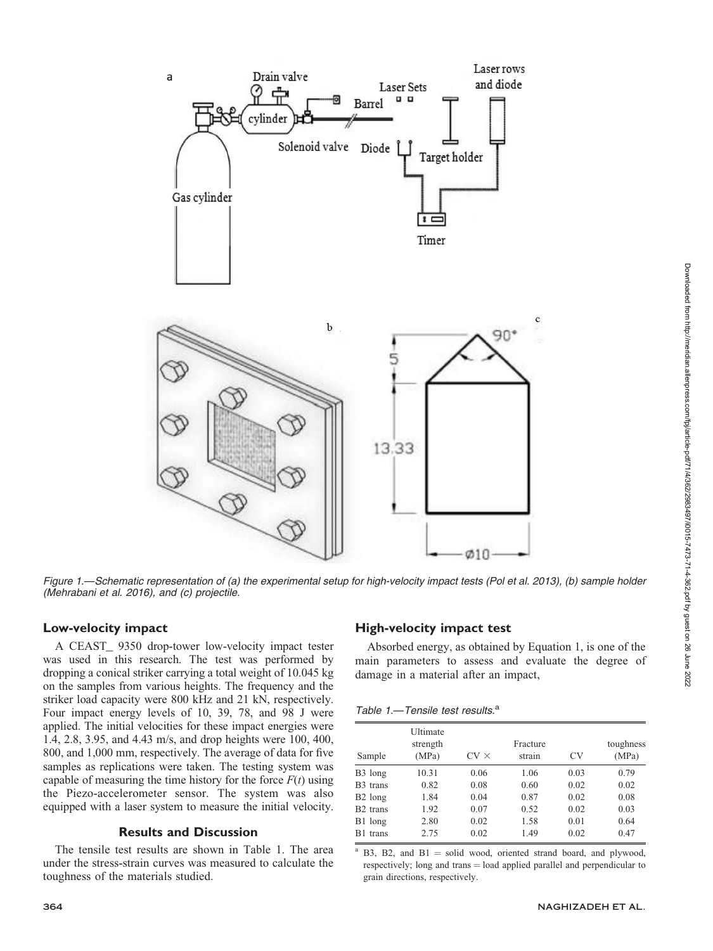

Figure 1.—Schematic representation of (a) the experimental setup for high-velocity impact tests (Pol et al. 2013), (b) sample holder (Mehrabani et al. 2016), and (c) projectile.

# Low-velocity impact

A CEAST\_ 9350 drop-tower low-velocity impact tester was used in this research. The test was performed by dropping a conical striker carrying a total weight of 10.045 kg on the samples from various heights. The frequency and the striker load capacity were 800 kHz and 21 kN, respectively. Four impact energy levels of 10, 39, 78, and 98 J were applied. The initial velocities for these impact energies were 1.4, 2.8, 3.95, and 4.43 m/s, and drop heights were 100, 400, 800, and 1,000 mm, respectively. The average of data for five samples as replications were taken. The testing system was capable of measuring the time history for the force  $F(t)$  using the Piezo-accelerometer sensor. The system was also equipped with a laser system to measure the initial velocity.

# Results and Discussion

The tensile test results are shown in Table 1. The area under the stress-strain curves was measured to calculate the toughness of the materials studied.

# High-velocity impact test

Absorbed energy, as obtained by Equation 1, is one of the main parameters to assess and evaluate the degree of damage in a material after an impact,

| Table 1.-Tensile test results. <sup>a</sup> |  |
|---------------------------------------------|--|
|---------------------------------------------|--|

| Sample               | Ultimate<br>strength<br>(MPa) | $CV \times$ | Fracture<br>strain | <b>CV</b> | toughness<br>(MPa) |
|----------------------|-------------------------------|-------------|--------------------|-----------|--------------------|
| B <sub>3</sub> long  | 10.31                         | 0.06        | 1.06               | 0.03      | 0.79               |
| B <sub>3</sub> trans | 0.82                          | 0.08        | 0.60               | 0.02      | 0.02               |
| B <sub>2</sub> long  | 1.84                          | 0.04        | 0.87               | 0.02      | 0.08               |
| B <sub>2</sub> trans | 1.92                          | 0.07        | 0.52               | 0.02      | 0.03               |
| B1 long              | 2.80                          | 0.02        | 1.58               | 0.01      | 0.64               |
| B1 trans             | 2.75                          | 0.02        | 1.49               | 0.02      | 0.47               |

B3, B2, and  $B1 =$  solid wood, oriented strand board, and plywood, respectively; long and trans = load applied parallel and perpendicular to grain directions, respectively.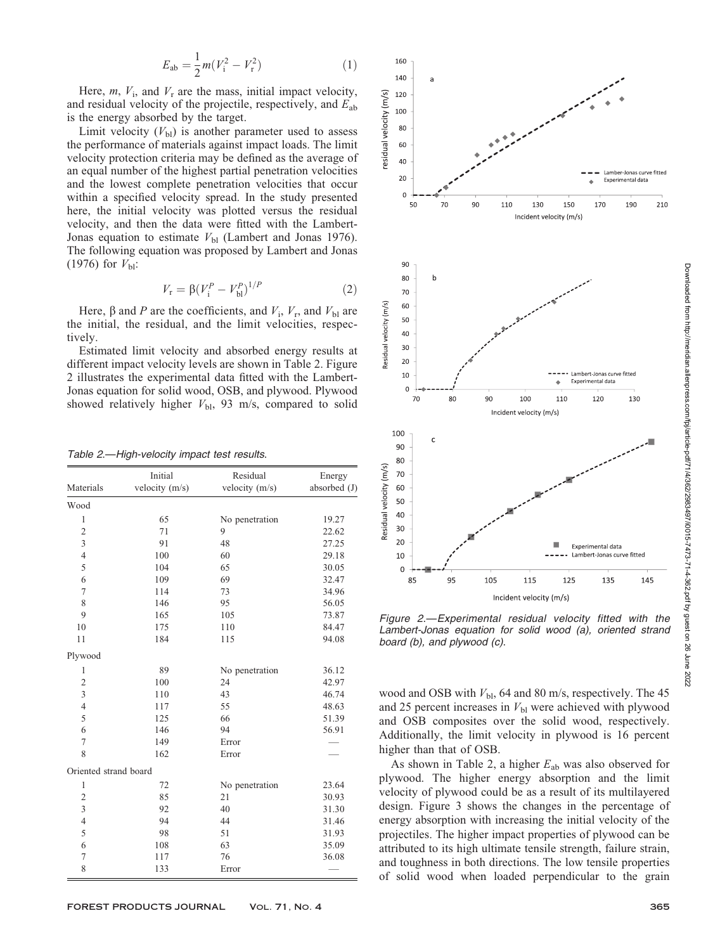$$
E_{\rm ab} = \frac{1}{2}m(V_{\rm i}^2 - V_{\rm r}^2) \tag{1}
$$

Here,  $m$ ,  $V_i$ , and  $V_r$  are the mass, initial impact velocity, and residual velocity of the projectile, respectively, and  $E_{ab}$ is the energy absorbed by the target.

Limit velocity  $(V_{bl})$  is another parameter used to assess the performance of materials against impact loads. The limit velocity protection criteria may be defined as the average of an equal number of the highest partial penetration velocities and the lowest complete penetration velocities that occur within a specified velocity spread. In the study presented here, the initial velocity was plotted versus the residual velocity, and then the data were fitted with the Lambert-Jonas equation to estimate  $V_{\text{bl}}$  (Lambert and Jonas 1976). The following equation was proposed by Lambert and Jonas (1976) for  $V_{\text{bl}}$ :

$$
V_{\rm r} = \beta (V_{\rm i}^P - V_{\rm bl}^P)^{1/P} \tag{2}
$$

Here,  $\beta$  and P are the coefficients, and  $V_i$ ,  $V_r$ , and  $V_{bl}$  are the initial, the residual, and the limit velocities, respectively.

Estimated limit velocity and absorbed energy results at different impact velocity levels are shown in Table 2. Figure 2 illustrates the experimental data fitted with the Lambert-Jonas equation for solid wood, OSB, and plywood. Plywood showed relatively higher  $V_{\text{bl}}$ , 93 m/s, compared to solid

Table 2.—High-velocity impact test results.

|                         | Initial          | Residual         | Energy       |  |
|-------------------------|------------------|------------------|--------------|--|
| Materials               | velocity $(m/s)$ | velocity $(m/s)$ | absorbed (J) |  |
| Wood                    |                  |                  |              |  |
| 1                       | 65               | No penetration   | 19.27        |  |
| $\overline{2}$          | 71               | 9                | 22.62        |  |
| 3                       | 91               | 48               | 27.25        |  |
| $\overline{4}$          | 100              | 60               | 29.18        |  |
| 5                       | 104              | 65               | 30.05        |  |
| 6                       | 109              | 69               | 32.47        |  |
| 7                       | 114              | 73               | 34.96        |  |
| 8                       | 146              | 95               | 56.05        |  |
| 9                       | 165              | 105              | 73.87        |  |
| 10                      | 175              | 110              | 84.47        |  |
| 11                      | 184              | 115              | 94.08        |  |
| Plywood                 |                  |                  |              |  |
| 1                       | 89               | No penetration   | 36.12        |  |
| $\overline{\mathbf{c}}$ | 100              | 24               | 42.97        |  |
| 3                       | 110              | 43               | 46.74        |  |
| $\overline{4}$          | 117              | 55               | 48.63        |  |
| 5                       | 125              | 66               | 51.39        |  |
| 6                       | 146              | 94               | 56.91        |  |
| 7                       | 149              | Error            |              |  |
| 8                       | 162              | Error            |              |  |
| Oriented strand board   |                  |                  |              |  |
| $\mathbf{1}$            | 72               | No penetration   | 23.64        |  |
| $\overline{2}$          | 85               | 21               | 30.93        |  |
| 3                       | 92               | 40               | 31.30        |  |
| $\overline{4}$          | 94               | 44               | 31.46        |  |
| 5                       | 98               | 51               | 31.93        |  |
| 6                       | 108              | 63               | 35.09        |  |
| 7                       | 117              | 76               | 36.08        |  |
| 8                       | 133              | Error            |              |  |



Figure 2.—Experimental residual velocity fitted with the Lambert-Jonas equation for solid wood (a), oriented strand board (b), and plywood (c).

wood and OSB with  $V_{\text{bl}}$ , 64 and 80 m/s, respectively. The 45 and 25 percent increases in  $V_{\text{bl}}$  were achieved with plywood and OSB composites over the solid wood, respectively. Additionally, the limit velocity in plywood is 16 percent higher than that of OSB.

As shown in Table 2, a higher  $E_{ab}$  was also observed for plywood. The higher energy absorption and the limit velocity of plywood could be as a result of its multilayered design. Figure 3 shows the changes in the percentage of energy absorption with increasing the initial velocity of the projectiles. The higher impact properties of plywood can be attributed to its high ultimate tensile strength, failure strain, and toughness in both directions. The low tensile properties of solid wood when loaded perpendicular to the grain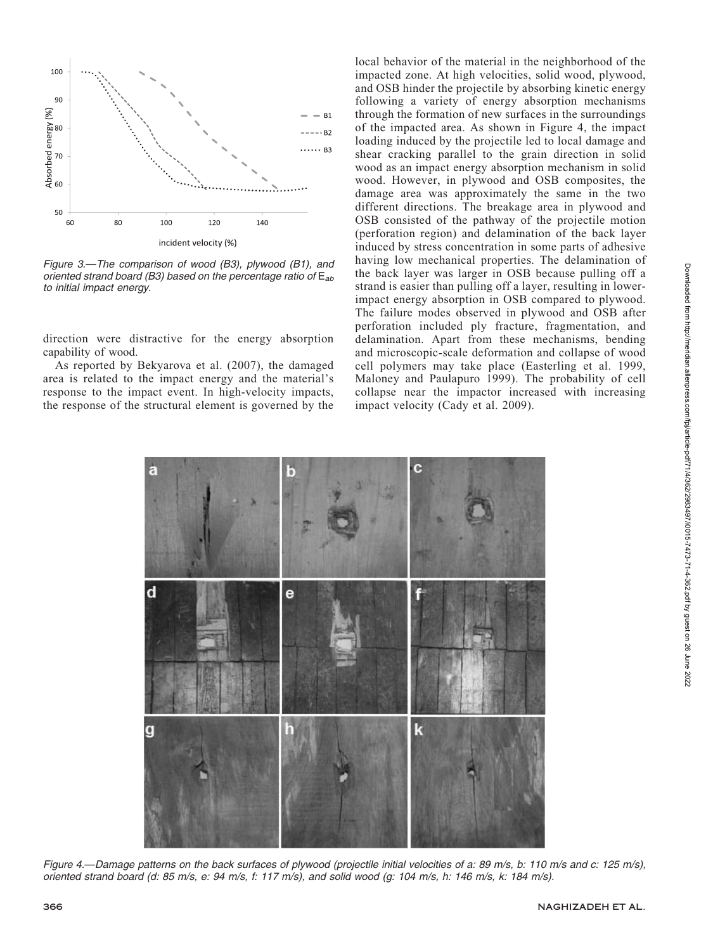

Figure 3.—The comparison of wood (B3), plywood (B1), and oriented strand board (B3) based on the percentage ratio of  $E_{ab}$ to initial impact energy.

direction were distractive for the energy absorption capability of wood.

As reported by Bekyarova et al. (2007), the damaged area is related to the impact energy and the material's response to the impact event. In high-velocity impacts, the response of the structural element is governed by the local behavior of the material in the neighborhood of the impacted zone. At high velocities, solid wood, plywood, and OSB hinder the projectile by absorbing kinetic energy following a variety of energy absorption mechanisms through the formation of new surfaces in the surroundings of the impacted area. As shown in Figure 4, the impact loading induced by the projectile led to local damage and shear cracking parallel to the grain direction in solid wood as an impact energy absorption mechanism in solid wood. However, in plywood and OSB composites, the damage area was approximately the same in the two different directions. The breakage area in plywood and OSB consisted of the pathway of the projectile motion (perforation region) and delamination of the back layer induced by stress concentration in some parts of adhesive having low mechanical properties. The delamination of the back layer was larger in OSB because pulling off a strand is easier than pulling off a layer, resulting in lowerimpact energy absorption in OSB compared to plywood. The failure modes observed in plywood and OSB after perforation included ply fracture, fragmentation, and delamination. Apart from these mechanisms, bending and microscopic-scale deformation and collapse of wood cell polymers may take place (Easterling et al. 1999, Maloney and Paulapuro 1999). The probability of cell collapse near the impactor increased with increasing impact velocity (Cady et al. 2009).



Figure 4.—Damage patterns on the back surfaces of plywood (projectile initial velocities of a: 89 m/s, b: 110 m/s and c: 125 m/s), oriented strand board (d: 85 m/s, e: 94 m/s, f: 117 m/s), and solid wood (g: 104 m/s, h: 146 m/s, k: 184 m/s).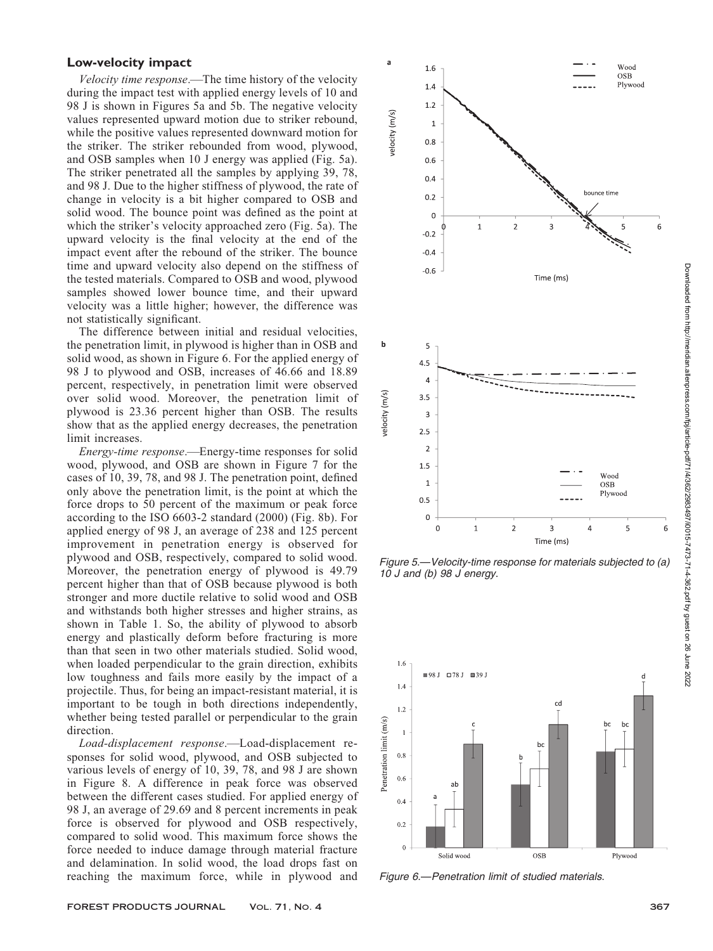## Low-velocity impact

Velocity time response.—The time history of the velocity during the impact test with applied energy levels of 10 and 98 J is shown in Figures 5a and 5b. The negative velocity values represented upward motion due to striker rebound, while the positive values represented downward motion for the striker. The striker rebounded from wood, plywood, and OSB samples when 10 J energy was applied (Fig. 5a). The striker penetrated all the samples by applying 39, 78, and 98 J. Due to the higher stiffness of plywood, the rate of change in velocity is a bit higher compared to OSB and solid wood. The bounce point was defined as the point at which the striker's velocity approached zero (Fig. 5a). The upward velocity is the final velocity at the end of the impact event after the rebound of the striker. The bounce time and upward velocity also depend on the stiffness of the tested materials. Compared to OSB and wood, plywood samples showed lower bounce time, and their upward velocity was a little higher; however, the difference was not statistically significant.

The difference between initial and residual velocities, the penetration limit, in plywood is higher than in OSB and solid wood, as shown in Figure 6. For the applied energy of 98 J to plywood and OSB, increases of 46.66 and 18.89 percent, respectively, in penetration limit were observed over solid wood. Moreover, the penetration limit of plywood is 23.36 percent higher than OSB. The results show that as the applied energy decreases, the penetration limit increases.

Energy-time response.—Energy-time responses for solid wood, plywood, and OSB are shown in Figure 7 for the cases of 10, 39, 78, and 98 J. The penetration point, defined only above the penetration limit, is the point at which the force drops to 50 percent of the maximum or peak force according to the ISO 6603-2 standard (2000) (Fig. 8b). For applied energy of 98 J, an average of 238 and 125 percent improvement in penetration energy is observed for plywood and OSB, respectively, compared to solid wood. Moreover, the penetration energy of plywood is 49.79 percent higher than that of OSB because plywood is both stronger and more ductile relative to solid wood and OSB and withstands both higher stresses and higher strains, as shown in Table 1. So, the ability of plywood to absorb energy and plastically deform before fracturing is more than that seen in two other materials studied. Solid wood, when loaded perpendicular to the grain direction, exhibits low toughness and fails more easily by the impact of a projectile. Thus, for being an impact-resistant material, it is important to be tough in both directions independently, whether being tested parallel or perpendicular to the grain direction.

Load-displacement response.—Load-displacement responses for solid wood, plywood, and OSB subjected to various levels of energy of 10, 39, 78, and 98 J are shown in Figure 8. A difference in peak force was observed between the different cases studied. For applied energy of 98 J, an average of 29.69 and 8 percent increments in peak force is observed for plywood and OSB respectively, compared to solid wood. This maximum force shows the force needed to induce damage through material fracture and delamination. In solid wood, the load drops fast on reaching the maximum force, while in plywood and



Figure 5.—Velocity-time response for materials subjected to (a) 10 J and (b) 98 J energy.



Figure 6.—Penetration limit of studied materials.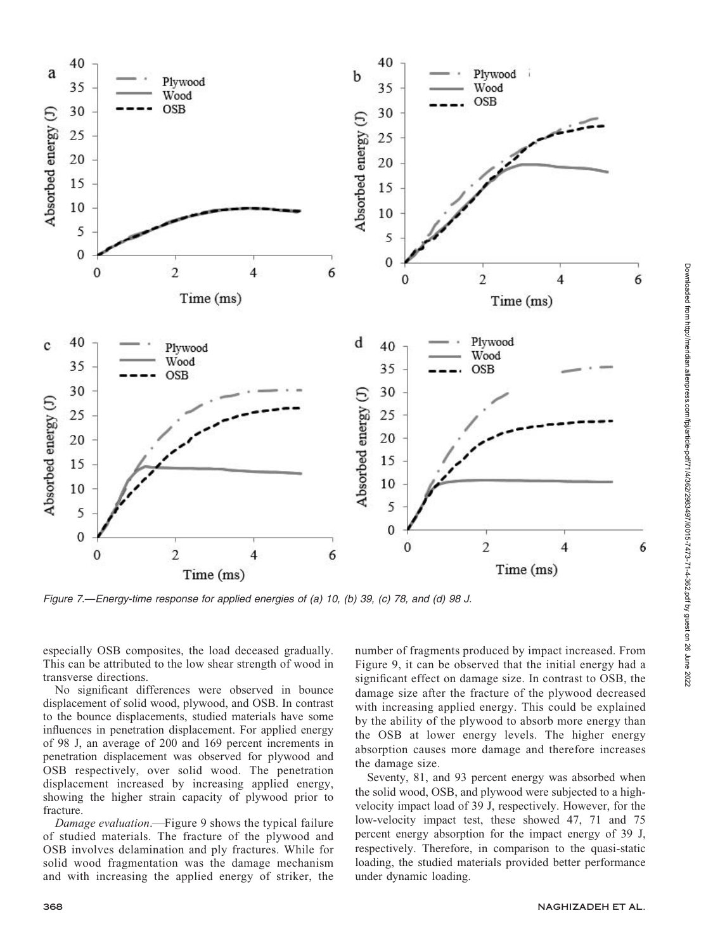

Figure 7.—Energy-time response for applied energies of (a) 10, (b) 39, (c) 78, and (d) 98 J.

especially OSB composites, the load deceased gradually. This can be attributed to the low shear strength of wood in transverse directions.

No significant differences were observed in bounce displacement of solid wood, plywood, and OSB. In contrast to the bounce displacements, studied materials have some influences in penetration displacement. For applied energy of 98 J, an average of 200 and 169 percent increments in penetration displacement was observed for plywood and OSB respectively, over solid wood. The penetration displacement increased by increasing applied energy, showing the higher strain capacity of plywood prior to fracture.

Damage evaluation.—Figure 9 shows the typical failure of studied materials. The fracture of the plywood and OSB involves delamination and ply fractures. While for solid wood fragmentation was the damage mechanism and with increasing the applied energy of striker, the number of fragments produced by impact increased. From Figure 9, it can be observed that the initial energy had a significant effect on damage size. In contrast to OSB, the damage size after the fracture of the plywood decreased with increasing applied energy. This could be explained by the ability of the plywood to absorb more energy than the OSB at lower energy levels. The higher energy absorption causes more damage and therefore increases the damage size.

Seventy, 81, and 93 percent energy was absorbed when the solid wood, OSB, and plywood were subjected to a highvelocity impact load of 39 J, respectively. However, for the low-velocity impact test, these showed 47, 71 and 75 percent energy absorption for the impact energy of 39 J, respectively. Therefore, in comparison to the quasi-static loading, the studied materials provided better performance under dynamic loading.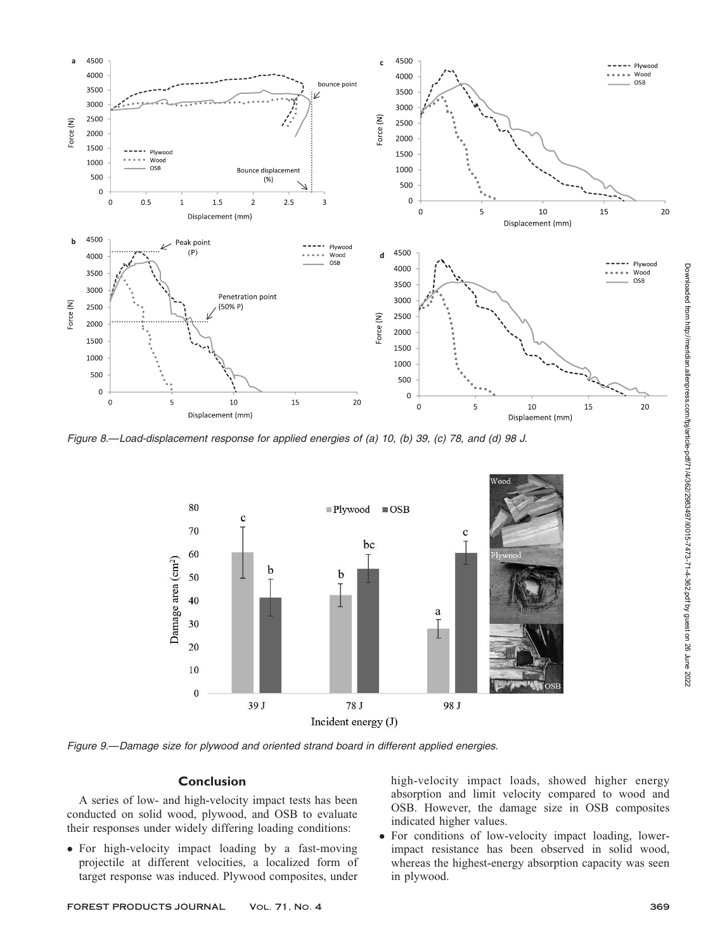

Figure 8.—Load-displacement response for applied energies of (a) 10, (b) 39, (c) 78, and (d) 98 J.



Figure 9.—Damage size for plywood and oriented strand board in different applied energies.

### Conclusion

A series of low- and high-velocity impact tests has been conducted on solid wood, plywood, and OSB to evaluate their responses under widely differing loading conditions:

• For high-velocity impact loading by a fast-moving projectile at different velocities, a localized form of target response was induced. Plywood composites, under high-velocity impact loads, showed higher energy absorption and limit velocity compared to wood and OSB. However, the damage size in OSB composites indicated higher values.

 For conditions of low-velocity impact loading, lowerimpact resistance has been observed in solid wood, whereas the highest-energy absorption capacity was seen in plywood.